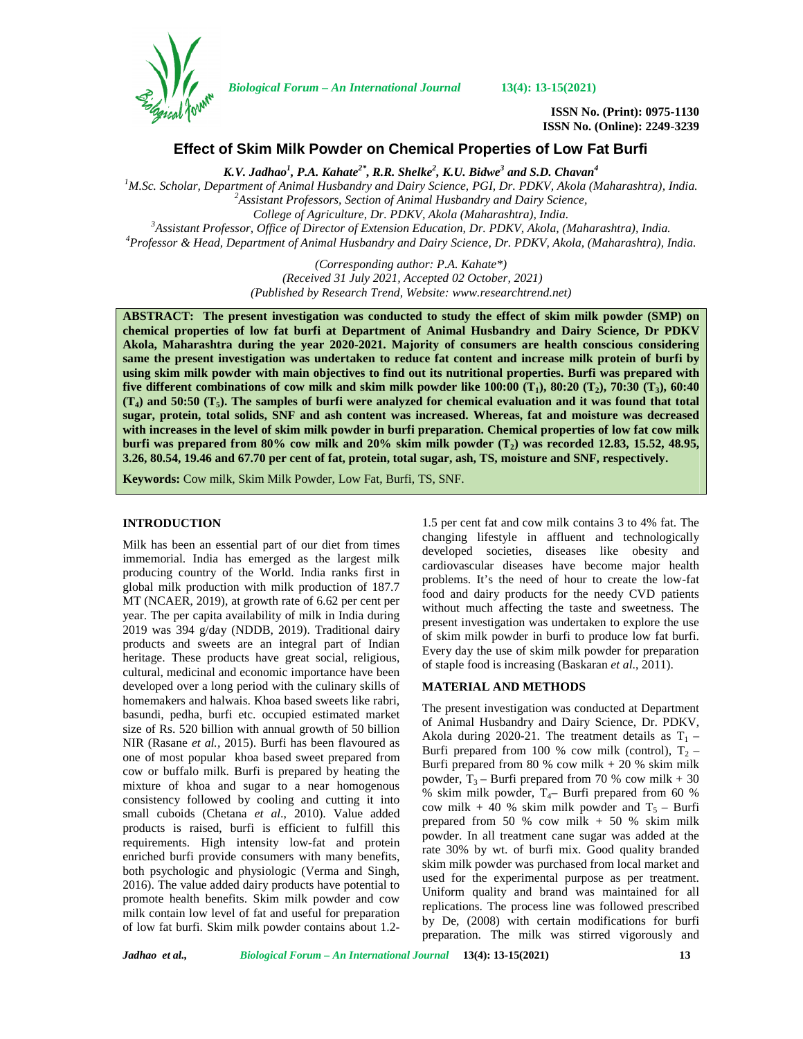

*Biological Forum – An International Journal* **13(4): 13-15(2021)**

**ISSN No. (Print): 0975-1130 ISSN No. (Online): 2249-3239**

## **Effect of Skim Milk Powder on Chemical Properties of Low Fat Burfi**

*K.V. Jadhao<sup>1</sup> , P.A. Kahate2\*, R.R. Shelke<sup>2</sup> , K.U. Bidwe<sup>3</sup> and S.D. Chavan<sup>4</sup>*

<sup>1</sup>M.Sc. Scholar, Department of Animal Husbandry and Dairy Science, PGI, Dr. PDKV, Akola (Maharashtra), India.<br><sup>2</sup>Assistant Professors, Section of Animal Husbandry and Dairy Science,

College of Agriculture, Dr. PDKV, Akola (Maharashtra), India.<br><sup>3</sup>Assistant Professor, Office of Director of Extension Education, Dr. PDKV, Akola, (Maharashtra), India.<br>1970fessor & Head, Department of Animal Husbandry and

*(Corresponding author: P.A. Kahate\*) (Received 31 July 2021, Accepted 02 October, 2021) (Published by Research Trend, Website: [www.researchtrend.net\)](www.researchtrend.net)*

**ABSTRACT: The present investigation was conducted to study the effect of skim milk powder (SMP) on chemical properties of low fat burfi at Department of Animal Husbandry and Dairy Science, Dr PDKV Akola, Maharashtra during the year 2020-2021. Majority of consumers are health conscious considering same the present investigation was undertaken to reduce fat content and increase milk protein of burfi by using skim milk powder with main objectives to find out its nutritional properties. Burfi was prepared with five different combinations of cow milk and skim milk powder like 100:00 (T1), 80:20 (T2), 70:30 (T3), 60:40 (T4) and 50:50 (T5). The samples of burfi were analyzed for chemical evaluation and it was found that total sugar, protein, total solids, SNF and ash content was increased. Whereas, fat and moisture was decreased with increases in the level of skim milk powder in burfi preparation. Chemical properties of low fat cow milk burfi was prepared from 80% cow milk and 20% skim milk powder (T2) was recorded 12.83, 15.52, 48.95, 3.26, 80.54, 19.46 and 67.70 per cent of fat, protein, total sugar, ash, TS, moisture and SNF, respectively.**

**Keywords:** Cow milk, Skim Milk Powder, Low Fat, Burfi, TS, SNF.

## **INTRODUCTION**

Milk has been an essential part of our diet from times immemorial. India has emerged as the largest milk producing country of the World. India ranks first in global milk production with milk production of 187.7 MT (NCAER, 2019), at growth rate of 6.62 per cent per year. The per capita availability of milk in India during 2019 was 394 g/day (NDDB, 2019). Traditional dairy products and sweets are an integral part of Indian heritage. These products have great social, religious, cultural, medicinal and economic importance have been developed over a long period with the culinary skills of homemakers and halwais. Khoa based sweets like rabri, basundi, pedha, burfi etc. occupied estimated market size of Rs. 520 billion with annual growth of 50 billion NIR (Rasane *et al.,* 2015). Burfi has been flavoured as one of most popular khoa based sweet prepared from cow or buffalo milk. Burfi is prepared by heating the mixture of khoa and sugar to a near homogenous consistency followed by cooling and cutting it into small cuboids (Chetana *et al*., 2010). Value added products is raised, burfi is efficient to fulfill this requirements. High intensity low-fat and protein enriched burfi provide consumers with many benefits, both psychologic and physiologic (Verma and Singh, 2016). The value added dairy products have potential to promote health benefits. Skim milk powder and cow milk contain low level of fat and useful for preparation of low fat burfi. Skim milk powder contains about 1.2-

1.5 per cent fat and cow milk contains 3 to 4% fat. The changing lifestyle in affluent and technologically developed societies, diseases like obesity and cardiovascular diseases have become major health problems. It's the need of hour to create the low-fat food and dairy products for the needy CVD patients without much affecting the taste and sweetness. The present investigation was undertaken to explore the use of skim milk powder in burfi to produce low fat burfi. Every day the use of skim milk powder for preparation of staple food is increasing (Baskaran *et al*., 2011).

# **MATERIAL AND METHODS**

The present investigation was conducted at Department of Animal Husbandry and Dairy Science, Dr. PDKV, Akola during 2020-21. The treatment details as  $T_1$  – Burfi prepared from 100 % cow milk (control),  $T_2$  – Burfi prepared from 80 % cow milk  $+ 20$  % skim milk powder,  $T_3$  – Burfi prepared from 70 % cow milk + 30 % skim milk powder,  $T_{4}$ – Burfi prepared from 60 % cow milk + 40 % skim milk powder and  $T_5$  – Burfi prepared from 50 % cow milk + 50 % skim milk powder. In all treatment cane sugar was added at the rate 30% by wt. of burfi mix. Good quality branded skim milk powder was purchased from local market and used for the experimental purpose as per treatment. Uniform quality and brand was maintained for all replications. The process line was followed prescribed by De, (2008) with certain modifications for burfi preparation. The milk was stirred vigorously and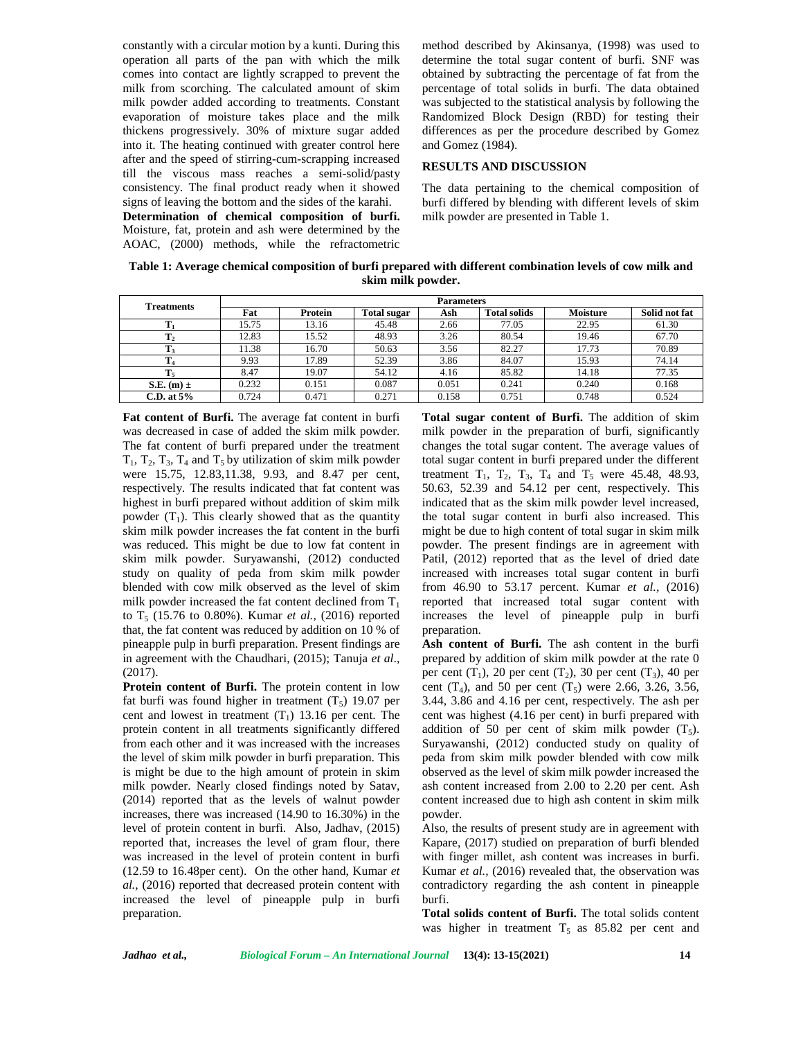constantly with a circular motion by a kunti. During this operation all parts of the pan with which the milk comes into contact are lightly scrapped to prevent the milk from scorching. The calculated amount of skim milk powder added according to treatments. Constant evaporation of moisture takes place and the milk thickens progressively. 30% of mixture sugar added into it. The heating continued with greater control here after and the speed of stirring-cum-scrapping increased till the viscous mass reaches a semi-solid/pasty consistency. The final product ready when it showed signs of leaving the bottom and the sides of the karahi. **Determination of chemical composition of burfi.**

Moisture, fat, protein and ash were determined by the AOAC, (2000) methods, while the refractometric method described by Akinsanya, (1998) was used to determine the total sugar content of burfi. SNF was obtained by subtracting the percentage of fat from the percentage of total solids in burfi. The data obtained was subjected to the statistical analysis by following the Randomized Block Design (RBD) for testing their differences as per the procedure described by Gomez and Gomez (1984).

#### **RESULTS AND DISCUSSION**

The data pertaining to the chemical composition of burfi differed by blending with different levels of skim milk powder are presented in Table 1.

| Table 1: Average chemical composition of burfi prepared with different combination levels of cow milk and |  |
|-----------------------------------------------------------------------------------------------------------|--|
| skim milk powder.                                                                                         |  |

| Treatments     | <b>Parameters</b> |         |                    |       |                     |                 |               |
|----------------|-------------------|---------|--------------------|-------|---------------------|-----------------|---------------|
|                | Fat               | Protein | <b>Total sugar</b> | Ash   | <b>Total solids</b> | <b>Moisture</b> | Solid not fat |
|                | 15.75             | 13.16   | 45.48              | 2.66  | 77.05               | 22.95           | 61.30         |
| $\mathbf{T}_2$ | 12.83             | 15.52   | 48.93              | 3.26  | 80.54               | 19.46           | 67.70         |
| $\mathbf{T}_3$ | 11.38             | 16.70   | 50.63              | 3.56  | 82.27               | 17.73           | 70.89         |
| 14             | 9.93              | 17.89   | 52.39              | 3.86  | 84.07               | 15.93           | 74.14         |
| $T_5$          | 8.47              | 19.07   | 54.12              | 4.16  | 85.82               | 14.18           | 77.35         |
| S.E. $(m) \pm$ | 0.232             | 0.151   | 0.087              | 0.051 | 0.241               | 0.240           | 0.168         |
| C.D. at $5\%$  | 0.724             | 0.471   | 0.271              | 0.158 | 0.751               | 0.748           | 0.524         |

**Fat content of Burfi.** The average fat content in burfi was decreased in case of added the skim milk powder. The fat content of burfi prepared under the treatment  $T_1$ ,  $T_2$ ,  $T_3$ ,  $T_4$  and  $T_5$  by utilization of skim milk powder were 15.75, 12.83,11.38, 9.93, and 8.47 per cent, respectively. The results indicated that fat content was highest in burfi prepared without addition of skim milk powder  $(T_1)$ . This clearly showed that as the quantity skim milk powder increases the fat content in the burfi was reduced. This might be due to low fat content in skim milk powder. Suryawanshi, (2012) conducted study on quality of peda from skim milk powder blended with cow milk observed as the level of skim milk powder increased the fat content declined from  $T_1$ to  $T_5$  (15.76 to 0.80%). Kumar *et al.*, (2016) reported that, the fat content was reduced by addition on 10 % of pineapple pulp in burfi preparation. Present findings are in agreement with the Chaudhari, (2015); Tanuja *et al*., (2017).

**Protein content of Burfi.** The protein content in low fat burfi was found higher in treatment  $(T_5)$  19.07 per cent and lowest in treatment  $(T_1)$  13.16 per cent. The protein content in all treatments significantly differed from each other and it was increased with the increases the level of skim milk powder in burfi preparation. This is might be due to the high amount of protein in skim milk powder. Nearly closed findings noted by Satav, (2014) reported that as the levels of walnut powder increases, there was increased (14.90 to 16.30%) in the level of protein content in burfi. Also, Jadhav, (2015) reported that, increases the level of gram flour, there was increased in the level of protein content in burfi (12.59 to 16.48per cent). On the other hand, Kumar *et al.,* (2016) reported that decreased protein content with increased the level of pineapple pulp in burfi preparation.

**Total sugar content of Burfi.** The addition of skim milk powder in the preparation of burfi, significantly changes the total sugar content. The average values of total sugar content in burfi prepared under the different treatment  $T_1$ ,  $T_2$ ,  $T_3$ ,  $T_4$  and  $T_5$  were 45.48, 48.93, 50.63, 52.39 and 54.12 per cent, respectively. This indicated that as the skim milk powder level increased, the total sugar content in burfi also increased. This might be due to high content of total sugar in skim milk powder. The present findings are in agreement with Patil, (2012) reported that as the level of dried date increased with increases total sugar content in burfi from 46.90 to 53.17 percent. Kumar *et al.,* (2016) reported that increased total sugar content with increases the level of pineapple pulp in burfi preparation.

**Ash content of Burfi.** The ash content in the burfi prepared by addition of skim milk powder at the rate 0 per cent  $(T_1)$ , 20 per cent  $(T_2)$ , 30 per cent  $(T_3)$ , 40 per cent  $(T_4)$ , and 50 per cent  $(T_5)$  were 2.66, 3.26, 3.56, 3.44, 3.86 and 4.16 per cent, respectively. The ash per cent was highest (4.16 per cent) in burfi prepared with addition of 50 per cent of skim milk powder  $(T_5)$ . Suryawanshi, (2012) conducted study on quality of peda from skim milk powder blended with cow milk observed as the level of skim milk powder increased the ash content increased from 2.00 to 2.20 per cent. Ash content increased due to high ash content in skim milk powder.

Also, the results of present study are in agreement with Kapare, (2017) studied on preparation of burfi blended with finger millet, ash content was increases in burfi. Kumar *et al.,* (2016) revealed that, the observation was contradictory regarding the ash content in pineapple burfi.

**Total solids content of Burfi.** The total solids content was higher in treatment  $T_5$  as 85.82 per cent and